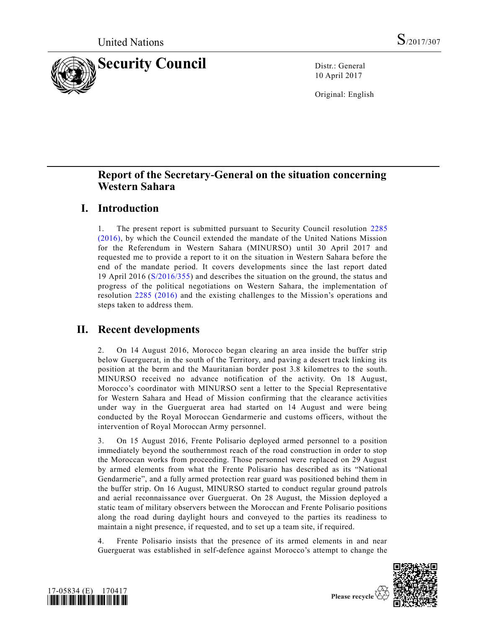

10 April 2017

Original: English

## **Report of the Secretary-General on the situation concerning Western Sahara**

## **I. Introduction**

1. The present report is submitted pursuant to Security Council resolution [2285](http://undocs.org/S/RES/2285(2016))  [\(2016\),](http://undocs.org/S/RES/2285(2016)) by which the Council extended the mandate of the United Nations Mission for the Referendum in Western Sahara (MINURSO) until 30 April 2017 and requested me to provide a report to it on the situation in Western Sahara before the end of the mandate period. It covers developments since the last report dated 19 April 2016 [\(S/2016/355\)](http://undocs.org/S/2016/355) and describes the situation on the ground, the status and progress of the political negotiations on Western Sahara, the implementation of resolution [2285 \(2016\)](http://undocs.org/S/RES/2285(2016)) and the existing challenges to the Mission's operations and steps taken to address them.

## **II. Recent developments**

2. On 14 August 2016, Morocco began clearing an area inside the buffer strip below Guerguerat, in the south of the Territory, and paving a desert track linking its position at the berm and the Mauritanian border post 3.8 kilometres to the south. MINURSO received no advance notification of the activity. On 18 August, Morocco's coordinator with MINURSO sent a letter to the Special Representative for Western Sahara and Head of Mission confirming that the clearance activities under way in the Guerguerat area had started on 14 August and were being conducted by the Royal Moroccan Gendarmerie and customs officers, without the intervention of Royal Moroccan Army personnel.

3. On 15 August 2016, Frente Polisario deployed armed personnel to a position immediately beyond the southernmost reach of the road construction in order to stop the Moroccan works from proceeding. Those personnel were replaced on 29 August by armed elements from what the Frente Polisario has described as its "National Gendarmerie", and a fully armed protection rear guard was positioned behind them in the buffer strip. On 16 August, MINURSO started to conduct regular ground patrols and aerial reconnaissance over Guerguerat. On 28 August, the Mission deployed a static team of military observers between the Moroccan and Frente Polisario positions along the road during daylight hours and conveyed to the parties its readiness to maintain a night presence, if requested, and to set up a team site, if required.

4. Frente Polisario insists that the presence of its armed elements in and near Guerguerat was established in self-defence against Morocco's attempt to change the



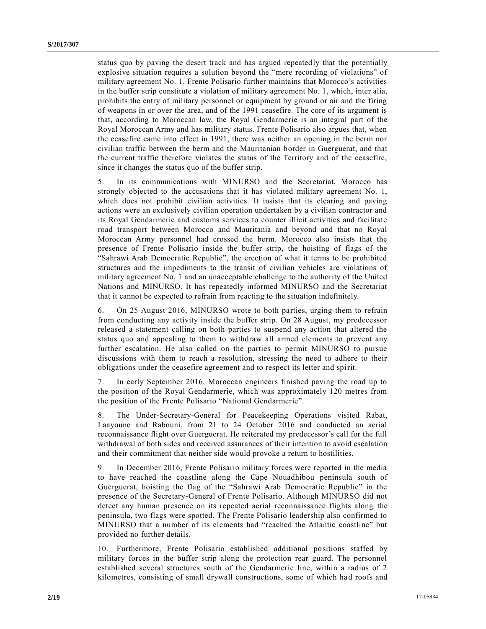status quo by paving the desert track and has argued repeatedly that the potentially explosive situation requires a solution beyond the "mere recording of violations" of military agreement No. 1. Frente Polisario further maintains that Morocco's activities in the buffer strip constitute a violation of military agreement No. 1, which, inter alia, prohibits the entry of military personnel or equipment by ground or air and the firing of weapons in or over the area, and of the 1991 ceasefire. The core of its argument is that, according to Moroccan law, the Royal Gendarmerie is an integral part of the Royal Moroccan Army and has military status. Frente Polisario also argues that, when the ceasefire came into effect in 1991, there was neither an opening in the berm nor civilian traffic between the berm and the Mauritanian border in Guerguerat, and that the current traffic therefore violates the status of the Territory and of the ceasefire, since it changes the status quo of the buffer strip.

5. In its communications with MINURSO and the Secretariat, Morocco has strongly objected to the accusations that it has violated military agreement No. 1, which does not prohibit civilian activities. It insists that its clearing and paving actions were an exclusively civilian operation undertaken by a civilian contractor and its Royal Gendarmerie and customs services to counter illicit activities and facilitate road transport between Morocco and Mauritania and beyond and that no Royal Moroccan Army personnel had crossed the berm. Morocco also insists that the presence of Frente Polisario inside the buffer strip, the hoisting of flags of the "Sahrawi Arab Democratic Republic", the erection of what it terms to be prohibited structures and the impediments to the transit of civilian vehicles are violations of military agreement No. 1 and an unacceptable challenge to the authority of the United Nations and MINURSO. It has repeatedly informed MINURSO and the Secretariat that it cannot be expected to refrain from reacting to the situation indefinitely.

6. On 25 August 2016, MINURSO wrote to both parties, urging them to refrain from conducting any activity inside the buffer strip. On 28 August, my predecessor released a statement calling on both parties to suspend any action that altered the status quo and appealing to them to withdraw all armed elements to prevent any further escalation. He also called on the parties to permit MINURSO to pursue discussions with them to reach a resolution, stressing the need to adhere to their obligations under the ceasefire agreement and to respect its letter and spirit.

7. In early September 2016, Moroccan engineers finished paving the road up to the position of the Royal Gendarmerie, which was approximately 120 metres from the position of the Frente Polisario "National Gendarmerie".

8. The Under-Secretary-General for Peacekeeping Operations visited Rabat, Laayoune and Rabouni, from 21 to 24 October 2016 and conducted an aerial reconnaissance flight over Guerguerat. He reiterated my predecessor's call for the full withdrawal of both sides and received assurances of their intention to avoid escalation and their commitment that neither side would provoke a return to hostilities.

9. In December 2016, Frente Polisario military forces were reported in the media to have reached the coastline along the Cape Nouadhibou peninsula south of Guerguerat, hoisting the flag of the "Sahrawi Arab Democratic Republic" in the presence of the Secretary-General of Frente Polisario. Although MINURSO did not detect any human presence on its repeated aerial reconnaissance flights along the peninsula, two flags were spotted. The Frente Polisario leadership also confirmed to MINURSO that a number of its elements had "reached the Atlantic coastline" but provided no further details.

10. Furthermore, Frente Polisario established additional positions staffed by military forces in the buffer strip along the protection rear guard. The personnel established several structures south of the Gendarmerie line, within a radius of 2 kilometres, consisting of small drywall constructions, some of which had roofs and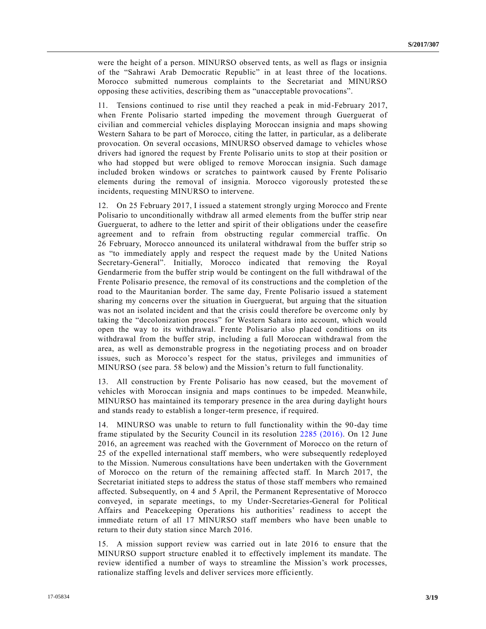were the height of a person. MINURSO observed tents, as well as flags or insignia of the "Sahrawi Arab Democratic Republic" in at least three of the locations. Morocco submitted numerous complaints to the Secretariat and MINURSO opposing these activities, describing them as "unacceptable provocations".

11. Tensions continued to rise until they reached a peak in mid-February 2017, when Frente Polisario started impeding the movement through Guerguerat of civilian and commercial vehicles displaying Moroccan insignia and maps showing Western Sahara to be part of Morocco, citing the latter, in particular, as a deliberate provocation. On several occasions, MINURSO observed damage to vehicles whose drivers had ignored the request by Frente Polisario units to stop at their position or who had stopped but were obliged to remove Moroccan insignia. Such damage included broken windows or scratches to paintwork caused by Frente Polisario elements during the removal of insignia. Morocco vigorously protested the se incidents, requesting MINURSO to intervene.

12. On 25 February 2017, I issued a statement strongly urging Morocco and Frente Polisario to unconditionally withdraw all armed elements from the buffer strip near Guerguerat, to adhere to the letter and spirit of their obligations under the ceasefire agreement and to refrain from obstructing regular commercial traffic. On 26 February, Morocco announced its unilateral withdrawal from the buffer strip so as "to immediately apply and respect the request made by the United Nations Secretary-General". Initially, Morocco indicated that removing the Royal Gendarmerie from the buffer strip would be contingent on the full withdrawal of the Frente Polisario presence, the removal of its constructions and the completion of the road to the Mauritanian border. The same day, Frente Polisario issued a statement sharing my concerns over the situation in Guerguerat, but arguing that the situation was not an isolated incident and that the crisis could therefore be overcome only by taking the "decolonization process" for Western Sahara into account, which would open the way to its withdrawal. Frente Polisario also placed conditions on its withdrawal from the buffer strip, including a full Moroccan withdrawal from the area, as well as demonstrable progress in the negotiating process and on broader issues, such as Morocco's respect for the status, privileges and immunities of MINURSO (see para. 58 below) and the Mission's return to full functionality.

13. All construction by Frente Polisario has now ceased, but the movement of vehicles with Moroccan insignia and maps continues to be impeded. Meanwhile, MINURSO has maintained its temporary presence in the area during daylight hours and stands ready to establish a longer-term presence, if required.

14. MINURSO was unable to return to full functionality within the 90-day time frame stipulated by the Security Council in its resolution [2285 \(2016\).](http://undocs.org/S/RES/2285(2016)) On 12 June 2016, an agreement was reached with the Government of Morocco on the return of 25 of the expelled international staff members, who were subsequently redeployed to the Mission. Numerous consultations have been undertaken with the Government of Morocco on the return of the remaining affected staff. In March 2017, the Secretariat initiated steps to address the status of those staff members who remained affected. Subsequently, on 4 and 5 April, the Permanent Representative of Morocco conveyed, in separate meetings, to my Under-Secretaries-General for Political Affairs and Peacekeeping Operations his authorities' readiness to accept the immediate return of all 17 MINURSO staff members who have been unable to return to their duty station since March 2016.

15. A mission support review was carried out in late 2016 to ensure that the MINURSO support structure enabled it to effectively implement its mandate. The review identified a number of ways to streamline the Mission's work processes, rationalize staffing levels and deliver services more efficiently.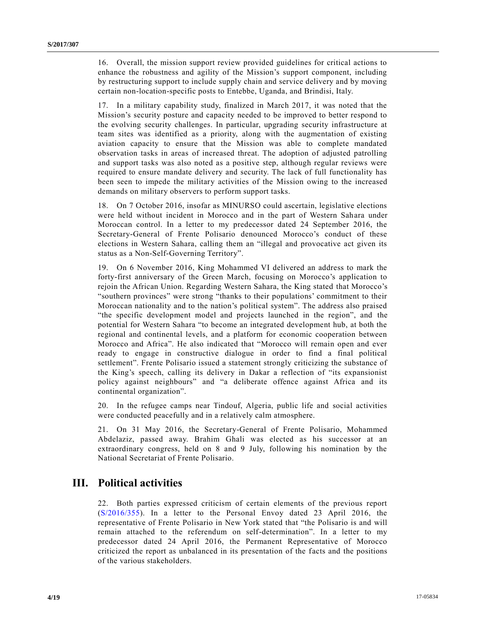16. Overall, the mission support review provided guidelines for critical actions to enhance the robustness and agility of the Mission's support component, including by restructuring support to include supply chain and service delivery and by moving certain non-location-specific posts to Entebbe, Uganda, and Brindisi, Italy.

17. In a military capability study, finalized in March 2017, it was noted that the Mission's security posture and capacity needed to be improved to better respond to the evolving security challenges. In particular, upgrading security infrastructure at team sites was identified as a priority, along with the augmentation of existing aviation capacity to ensure that the Mission was able to complete mandated observation tasks in areas of increased threat. The adoption of adjusted patrolling and support tasks was also noted as a positive step, although regular reviews were required to ensure mandate delivery and security. The lack of full functionality has been seen to impede the military activities of the Mission owing to the increased demands on military observers to perform support tasks.

18. On 7 October 2016, insofar as MINURSO could ascertain, legislative elections were held without incident in Morocco and in the part of Western Sahara under Moroccan control. In a letter to my predecessor dated 24 September 2016, the Secretary-General of Frente Polisario denounced Morocco's conduct of these elections in Western Sahara, calling them an "illegal and provocative act given its status as a Non-Self-Governing Territory".

19. On 6 November 2016, King Mohammed VI delivered an address to mark the forty-first anniversary of the Green March, focusing on Morocco's application to rejoin the African Union. Regarding Western Sahara, the King stated that Morocco's "southern provinces" were strong "thanks to their populations' commitment to their Moroccan nationality and to the nation's political system". The address also praised "the specific development model and projects launched in the region", and the potential for Western Sahara "to become an integrated development hub, at both the regional and continental levels, and a platform for economic cooperation between Morocco and Africa". He also indicated that "Morocco will remain open and ever ready to engage in constructive dialogue in order to find a final political settlement". Frente Polisario issued a statement strongly criticizing the substance of the King's speech, calling its delivery in Dakar a reflection of "its expansionist policy against neighbours" and "a deliberate offence against Africa and its continental organization".

20. In the refugee camps near Tindouf, Algeria, public life and social activities were conducted peacefully and in a relatively calm atmosphere.

21. On 31 May 2016, the Secretary-General of Frente Polisario, Mohammed Abdelaziz, passed away. Brahim Ghali was elected as his successor at an extraordinary congress, held on 8 and 9 July, following his nomination by the National Secretariat of Frente Polisario.

### **III. Political activities**

22. Both parties expressed criticism of certain elements of the previous report [\(S/2016/355\)](http://undocs.org/S/2016/355). In a letter to the Personal Envoy dated 23 April 2016, the representative of Frente Polisario in New York stated that "the Polisario is and will remain attached to the referendum on self-determination". In a letter to my predecessor dated 24 April 2016, the Permanent Representative of Morocco criticized the report as unbalanced in its presentation of the facts and the positions of the various stakeholders.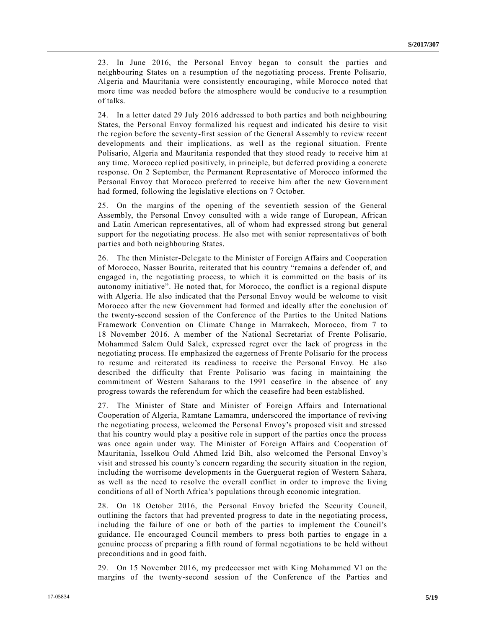23. In June 2016, the Personal Envoy began to consult the parties and neighbouring States on a resumption of the negotiating process. Frente Polisario, Algeria and Mauritania were consistently encouraging, while Morocco noted that more time was needed before the atmosphere would be conducive to a resumption of talks.

24. In a letter dated 29 July 2016 addressed to both parties and both neighbouring States, the Personal Envoy formalized his request and indicated his desire to visit the region before the seventy-first session of the General Assembly to review recent developments and their implications, as well as the regional situation. Frente Polisario, Algeria and Mauritania responded that they stood ready to receive him at any time. Morocco replied positively, in principle, but deferred providing a concrete response. On 2 September, the Permanent Representative of Morocco informed the Personal Envoy that Morocco preferred to receive him after the new Government had formed, following the legislative elections on 7 October.

25. On the margins of the opening of the seventieth session of the General Assembly, the Personal Envoy consulted with a wide range of European, African and Latin American representatives, all of whom had expressed strong but general support for the negotiating process. He also met with senior representatives of both parties and both neighbouring States.

26. The then Minister-Delegate to the Minister of Foreign Affairs and Cooperation of Morocco, Nasser Bourita, reiterated that his country "remains a defender of, and engaged in, the negotiating process, to which it is committed on the basis of its autonomy initiative". He noted that, for Morocco, the conflict is a regional dispute with Algeria. He also indicated that the Personal Envoy would be welcome to visit Morocco after the new Government had formed and ideally after the conclusion of the twenty-second session of the Conference of the Parties to the United Nations Framework Convention on Climate Change in Marrakech, Morocco, from 7 to 18 November 2016. A member of the National Secretariat of Frente Polisario, Mohammed Salem Ould Salek, expressed regret over the lack of progress in the negotiating process. He emphasized the eagerness of Frente Polisario for the process to resume and reiterated its readiness to receive the Personal Envoy. He also described the difficulty that Frente Polisario was facing in maintaining the commitment of Western Saharans to the 1991 ceasefire in the absence of any progress towards the referendum for which the ceasefire had been established.

27. The Minister of State and Minister of Foreign Affairs and International Cooperation of Algeria, Ramtane Lamamra, underscored the importance of reviving the negotiating process, welcomed the Personal Envoy's proposed visit and stressed that his country would play a positive role in support of the parties once the process was once again under way. The Minister of Foreign Affairs and Cooperation of Mauritania, Isselkou Ould Ahmed Izid Bih, also welcomed the Personal Envoy's visit and stressed his county's concern regarding the security situation in the region, including the worrisome developments in the Guerguerat region of Western Sahara, as well as the need to resolve the overall conflict in order to improve the living conditions of all of North Africa's populations through economic integration.

28. On 18 October 2016, the Personal Envoy briefed the Security Council, outlining the factors that had prevented progress to date in the negotiating process, including the failure of one or both of the parties to implement the Council's guidance. He encouraged Council members to press both parties to engage in a genuine process of preparing a fifth round of formal negotiations to be held without preconditions and in good faith.

29. On 15 November 2016, my predecessor met with King Mohammed VI on the margins of the twenty-second session of the Conference of the Parties and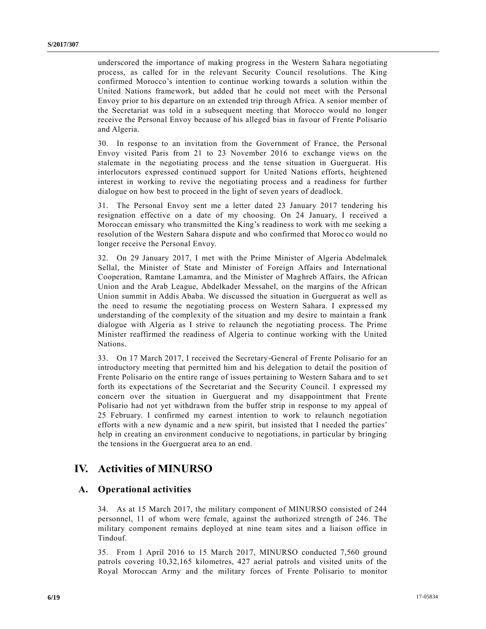underscored the importance of making progress in the Western Sahara negotiating process, as called for in the relevant Security Council resolutions. The King confirmed Morocco's intention to continue working towards a solution within the United Nations framework, but added that he could not meet with the Personal Envoy prior to his departure on an extended trip through Africa. A senior member of the Secretariat was told in a subsequent meeting that Morocco would no longer receive the Personal Envoy because of his alleged bias in favour of Frente Polisario and Algeria.

30. In response to an invitation from the Government of France, the Personal Envoy visited Paris from 21 to 23 November 2016 to exchange views on the stalemate in the negotiating process and the tense situation in Guerguerat. His interlocutors expressed continued support for United Nations efforts, heightened interest in working to revive the negotiating process and a readiness for further dialogue on how best to proceed in the light of seven years of deadlock.

31. The Personal Envoy sent me a letter dated 23 January 2017 tendering his resignation effective on a date of my choosing. On 24 January, I received a Moroccan emissary who transmitted the King's readiness to work with me seeking a resolution of the Western Sahara dispute and who confirmed that Moroc co would no longer receive the Personal Envoy.

32. On 29 January 2017, I met with the Prime Minister of Algeria Abdelmalek Sellal, the Minister of State and Minister of Foreign Affairs and International Cooperation, Ramtane Lamamra, and the Minister of Maghreb Affairs, the African Union and the Arab League, Abdelkader Messahel, on the margins of the African Union summit in Addis Ababa. We discussed the situation in Guerguerat as well as the need to resume the negotiating process on Western Sahara. I expressed my understanding of the complexity of the situation and my desire to maintain a frank dialogue with Algeria as I strive to relaunch the negotiating process. The Prime Minister reaffirmed the readiness of Algeria to continue working with the United Nations.

33. On 17 March 2017, I received the Secretary-General of Frente Polisario for an introductory meeting that permitted him and his delegation to detail the position of Frente Polisario on the entire range of issues pertaining to Western Sahara and to set forth its expectations of the Secretariat and the Security Council. I expressed my concern over the situation in Guerguerat and my disappointment that Frente Polisario had not yet withdrawn from the buffer strip in response to my appeal of 25 February. I confirmed my earnest intention to work to relaunch negotiation efforts with a new dynamic and a new spirit, but insisted that I needed the parties' help in creating an environment conducive to negotiations, in particular by bringing the tensions in the Guerguerat area to an end.

## **IV. Activities of MINURSO**

#### **A. Operational activities**

34. As at 15 March 2017, the military component of MINURSO consisted of 244 personnel, 11 of whom were female, against the authorized strength of 246. The military component remains deployed at nine team sites and a liaison office in Tindouf.

35. From 1 April 2016 to 15 March 2017, MINURSO conducted 7,560 ground patrols covering 10,32,165 kilometres, 427 aerial patrols and visited units of the Royal Moroccan Army and the military forces of Frente Polisario to monitor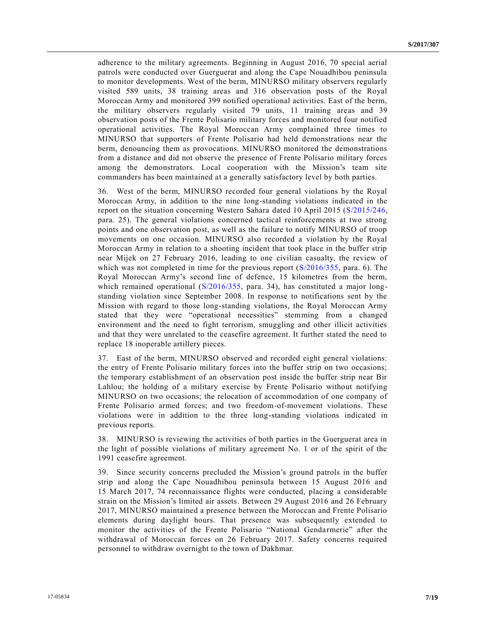adherence to the military agreements. Beginning in August 2016, 70 special aerial patrols were conducted over Guerguerat and along the Cape Nouadhibou peninsula to monitor developments. West of the berm, MINURSO military observers regularly visited 589 units, 38 training areas and 316 observation posts of the Royal Moroccan Army and monitored 399 notified operational activities. East of the berm, the military observers regularly visited 79 units, 11 training areas and 39 observation posts of the Frente Polisario military forces and monitored four notified operational activities. The Royal Moroccan Army complained three times to MINURSO that supporters of Frente Polisario had held demonstrations near the berm, denouncing them as provocations. MINURSO monitored the demonstrations from a distance and did not observe the presence of Frente Polisario military forces among the demonstrators. Local cooperation with the Mission's team site commanders has been maintained at a generally satisfactory level by both parties.

36. West of the berm, MINURSO recorded four general violations by the Royal Moroccan Army, in addition to the nine long-standing violations indicated in the report on the situation concerning Western Sahara dated 10 April 2015 [\(S/2015/246,](http://undocs.org/S/2015/246) para. 25). The general violations concerned tactical reinforcements at two strong points and one observation post, as well as the failure to notify MINURSO of troop movements on one occasion. MINURSO also recorded a violation by the Royal Moroccan Army in relation to a shooting incident that took place in the buffer strip near Mijek on 27 February 2016, leading to one civilian casualty, the review of which was not completed in time for the previous report  $(S/2016/355, \text{ para. } 6)$  $(S/2016/355, \text{ para. } 6)$ . The Royal Moroccan Army's second line of defence, 15 kilometres from the berm, which remained operational [\(S/2016/355,](http://undocs.org/S/2016/355) para. 34), has constituted a major longstanding violation since September 2008. In response to notifications sent by the Mission with regard to those long-standing violations, the Royal Moroccan Army stated that they were "operational necessities" stemming from a changed environment and the need to fight terrorism, smuggling and other illicit activities and that they were unrelated to the ceasefire agreement. It further stated the need to replace 18 inoperable artillery pieces.

37. East of the berm, MINURSO observed and recorded eight general violations: the entry of Frente Polisario military forces into the buffer strip on two occasions; the temporary establishment of an observation post inside the buffer strip near Bir Lahlou; the holding of a military exercise by Frente Polisario without notifying MINURSO on two occasions; the relocation of accommodation of one company of Frente Polisario armed forces; and two freedom-of-movement violations. These violations were in addition to the three long-standing violations indicated in previous reports.

38. MINURSO is reviewing the activities of both parties in the Guerguerat area in the light of possible violations of military agreement No. 1 or of the spirit of the 1991 ceasefire agreement.

39. Since security concerns precluded the Mission's ground patrols in the buffer strip and along the Cape Nouadhibou peninsula between 15 August 2016 and 15 March 2017, 74 reconnaissance flights were conducted, placing a considerable strain on the Mission's limited air assets. Between 29 August 2016 and 26 February 2017, MINURSO maintained a presence between the Moroccan and Frente Polisario elements during daylight hours. That presence was subsequently extended to monitor the activities of the Frente Polisario "National Gendarmerie" after the withdrawal of Moroccan forces on 26 February 2017. Safety concerns required personnel to withdraw overnight to the town of Dakhmar.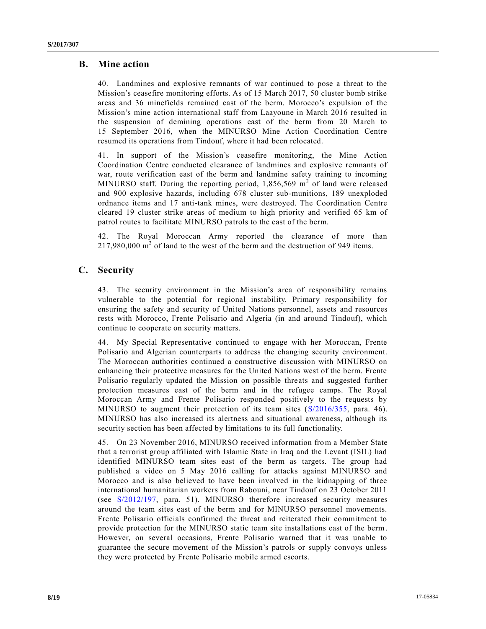### **B. Mine action**

40. Landmines and explosive remnants of war continued to pose a threat to the Mission's ceasefire monitoring efforts. As of 15 March 2017, 50 cluster bomb strike areas and 36 minefields remained east of the berm. Morocco's expulsion of the Mission's mine action international staff from Laayoune in March 2016 resulted in the suspension of demining operations east of the berm from 20 March to 15 September 2016, when the MINURSO Mine Action Coordination Centre resumed its operations from Tindouf, where it had been relocated.

41. In support of the Mission's ceasefire monitoring, the Mine Action Coordination Centre conducted clearance of landmines and explosive remnants of war, route verification east of the berm and landmine safety training to incoming MINURSO staff. During the reporting period,  $1,856,569$  m<sup>2</sup> of land were released and 900 explosive hazards, including 678 cluster sub-munitions, 189 unexploded ordnance items and 17 anti-tank mines, were destroyed. The Coordination Centre cleared 19 cluster strike areas of medium to high priority and verified 65 km of patrol routes to facilitate MINURSO patrols to the east of the berm.

42. The Royal Moroccan Army reported the clearance of more than  $217,980,000$  m<sup>2</sup> of land to the west of the berm and the destruction of 949 items.

### **C. Security**

43. The security environment in the Mission's area of responsibility remains vulnerable to the potential for regional instability. Primary responsibility for ensuring the safety and security of United Nations personnel, assets and resources rests with Morocco, Frente Polisario and Algeria (in and around Tindouf), which continue to cooperate on security matters.

44. My Special Representative continued to engage with her Moroccan, Frente Polisario and Algerian counterparts to address the changing security environment. The Moroccan authorities continued a constructive discussion with MINURSO on enhancing their protective measures for the United Nations west of the berm. Frente Polisario regularly updated the Mission on possible threats and suggested further protection measures east of the berm and in the refugee camps. The Royal Moroccan Army and Frente Polisario responded positively to the requests by MINURSO to augment their protection of its team sites [\(S/2016/355,](http://undocs.org/S/2016/355) para. 46). MINURSO has also increased its alertness and situational awareness, although its security section has been affected by limitations to its full functionality.

45. On 23 November 2016, MINURSO received information from a Member State that a terrorist group affiliated with Islamic State in Iraq and the Levant (ISIL) had identified MINURSO team sites east of the berm as targets. The group had published a video on 5 May 2016 calling for attacks against MINURSO and Morocco and is also believed to have been involved in the kidnapping of three international humanitarian workers from Rabouni, near Tindouf on 23 October 2011 (see [S/2012/197,](http://undocs.org/S/2012/197) para. 51). MINURSO therefore increased security measures around the team sites east of the berm and for MINURSO personnel movements. Frente Polisario officials confirmed the threat and reiterated their commitment to provide protection for the MINURSO static team site installations east of the berm. However, on several occasions, Frente Polisario warned that it was unable to guarantee the secure movement of the Mission's patrols or supply convoys unless they were protected by Frente Polisario mobile armed escorts.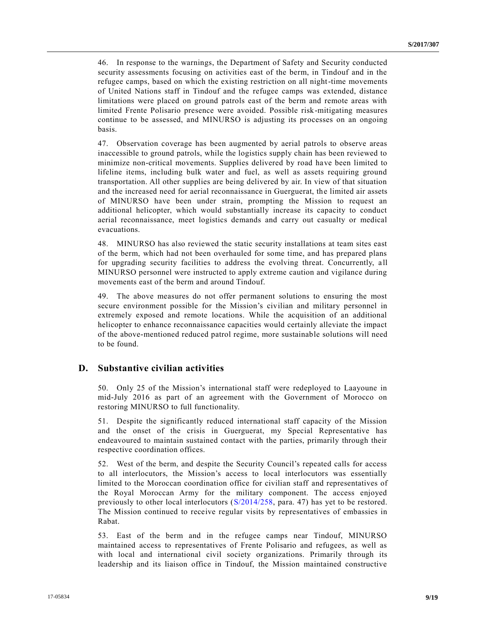46. In response to the warnings, the Department of Safety and Security conducted security assessments focusing on activities east of the berm, in Tindouf and in the refugee camps, based on which the existing restriction on all night-time movements of United Nations staff in Tindouf and the refugee camps was extended, distance limitations were placed on ground patrols east of the berm and remote areas with limited Frente Polisario presence were avoided. Possible risk-mitigating measures continue to be assessed, and MINURSO is adjusting its processes on an ongoing basis.

47. Observation coverage has been augmented by aerial patrols to observe areas inaccessible to ground patrols, while the logistics supply chain has been reviewed to minimize non-critical movements. Supplies delivered by road have been limited to lifeline items, including bulk water and fuel, as well as assets requiring ground transportation. All other supplies are being delivered by air. In view of that situation and the increased need for aerial reconnaissance in Guerguerat, the limited air assets of MINURSO have been under strain, prompting the Mission to request an additional helicopter, which would substantially increase its capacity to conduct aerial reconnaissance, meet logistics demands and carry out casualty or medical evacuations.

48. MINURSO has also reviewed the static security installations at team sites east of the berm, which had not been overhauled for some time, and has prepared plans for upgrading security facilities to address the evolving threat. Concurrently, a ll MINURSO personnel were instructed to apply extreme caution and vigilance during movements east of the berm and around Tindouf.

49. The above measures do not offer permanent solutions to ensuring the most secure environment possible for the Mission's civilian and military personnel in extremely exposed and remote locations. While the acquisition of an additional helicopter to enhance reconnaissance capacities would certainly alleviate the impact of the above-mentioned reduced patrol regime, more sustainable solutions will need to be found.

#### **D. Substantive civilian activities**

50. Only 25 of the Mission's international staff were redeployed to Laayoune in mid-July 2016 as part of an agreement with the Government of Morocco on restoring MINURSO to full functionality.

51. Despite the significantly reduced international staff capacity of the Mission and the onset of the crisis in Guerguerat, my Special Representative has endeavoured to maintain sustained contact with the parties, primarily through their respective coordination offices.

52. West of the berm, and despite the Security Council's repeated calls for access to all interlocutors, the Mission's access to local interlocutors was essentially limited to the Moroccan coordination office for civilian staff and representatives of the Royal Moroccan Army for the military component. The access enjoyed previously to other local interlocutors [\(S/2014/258,](http://undocs.org/S/2014/258) para. 47) has yet to be restored. The Mission continued to receive regular visits by representatives of embassies in Rabat.

53. East of the berm and in the refugee camps near Tindouf, MINURSO maintained access to representatives of Frente Polisario and refugees, as well as with local and international civil society organizations. Primarily through its leadership and its liaison office in Tindouf, the Mission maintained constructive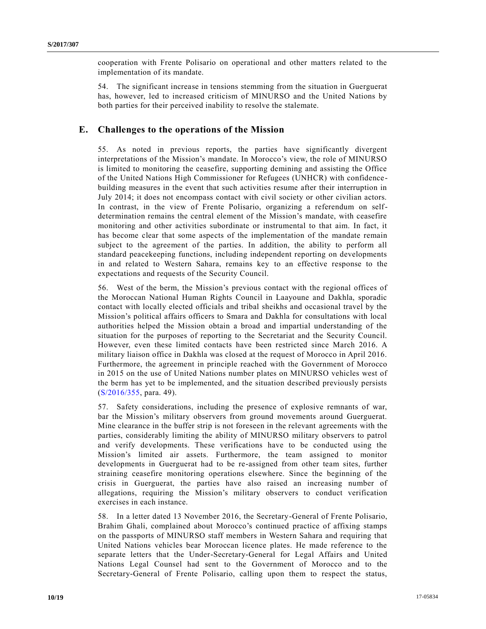cooperation with Frente Polisario on operational and other matters related to the implementation of its mandate.

54. The significant increase in tensions stemming from the situation in Guerguerat has, however, led to increased criticism of MINURSO and the United Nations by both parties for their perceived inability to resolve the stalemate.

#### **E. Challenges to the operations of the Mission**

55. As noted in previous reports, the parties have significantly divergent interpretations of the Mission's mandate. In Morocco's view, the role of MINURSO is limited to monitoring the ceasefire, supporting demining and assisting the Office of the United Nations High Commissioner for Refugees (UNHCR) with confidence building measures in the event that such activities resume after their interruption in July 2014; it does not encompass contact with civil society or other civilian actors. In contrast, in the view of Frente Polisario, organizing a referendum on selfdetermination remains the central element of the Mission's mandate, with ceasefire monitoring and other activities subordinate or instrumental to that aim. In fact, it has become clear that some aspects of the implementation of the mandate remain subject to the agreement of the parties. In addition, the ability to perform all standard peacekeeping functions, including independent reporting on developments in and related to Western Sahara, remains key to an effective response to the expectations and requests of the Security Council.

56. West of the berm, the Mission's previous contact with the regional offices of the Moroccan National Human Rights Council in Laayoune and Dakhla, sporadic contact with locally elected officials and tribal sheikhs and occasional travel by the Mission's political affairs officers to Smara and Dakhla for consultations with local authorities helped the Mission obtain a broad and impartial understanding of the situation for the purposes of reporting to the Secretariat and the Security Council. However, even these limited contacts have been restricted since March 2016. A military liaison office in Dakhla was closed at the request of Morocco in April 2016. Furthermore, the agreement in principle reached with the Government of Morocco in 2015 on the use of United Nations number plates on MINURSO vehicles west of the berm has yet to be implemented, and the situation described previously persists [\(S/2016/355,](http://undocs.org/S/2016/355) para. 49).

57. Safety considerations, including the presence of explosive remnants of war, bar the Mission's military observers from ground movements around Guerguerat. Mine clearance in the buffer strip is not foreseen in the relevant agreements with the parties, considerably limiting the ability of MINURSO military observers to patrol and verify developments. These verifications have to be conducted using the Mission's limited air assets. Furthermore, the team assigned to monitor developments in Guerguerat had to be re-assigned from other team sites, further straining ceasefire monitoring operations elsewhere. Since the beginning of the crisis in Guerguerat, the parties have also raised an increasing number of allegations, requiring the Mission's military observers to conduct verification exercises in each instance.

58. In a letter dated 13 November 2016, the Secretary-General of Frente Polisario, Brahim Ghali, complained about Morocco's continued practice of affixing stamps on the passports of MINURSO staff members in Western Sahara and requiring that United Nations vehicles bear Moroccan licence plates. He made reference to the separate letters that the Under-Secretary-General for Legal Affairs and United Nations Legal Counsel had sent to the Government of Morocco and to the Secretary-General of Frente Polisario, calling upon them to respect the status,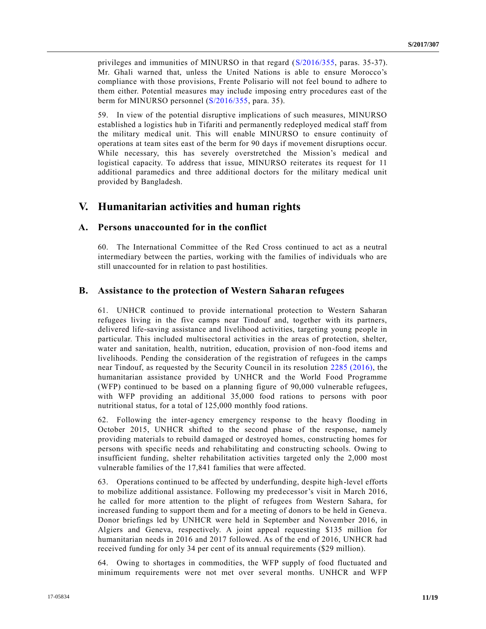privileges and immunities of MINURSO in that regard [\(S/2016/355,](http://undocs.org/S/2016/355) paras. 35-37). Mr. Ghali warned that, unless the United Nations is able to ensure Morocco's compliance with those provisions, Frente Polisario will not feel bound to adhere to them either. Potential measures may include imposing entry procedures east of the berm for MINURSO personnel [\(S/2016/355,](http://undocs.org/S/2016/355) para. 35).

59. In view of the potential disruptive implications of such measures, MINURSO established a logistics hub in Tifariti and permanently redeployed medical staff from the military medical unit. This will enable MINURSO to ensure continuity of operations at team sites east of the berm for 90 days if movement disruptions occur. While necessary, this has severely overstretched the Mission's medical and logistical capacity. To address that issue, MINURSO reiterates its request for 11 additional paramedics and three additional doctors for the military medical unit provided by Bangladesh.

### **V. Humanitarian activities and human rights**

#### **A. Persons unaccounted for in the conflict**

60. The International Committee of the Red Cross continued to act as a neutral intermediary between the parties, working with the families of individuals who are still unaccounted for in relation to past hostilities.

#### **B. Assistance to the protection of Western Saharan refugees**

61. UNHCR continued to provide international protection to Western Saharan refugees living in the five camps near Tindouf and, together with its partners, delivered life-saving assistance and livelihood activities, targeting young people in particular. This included multisectoral activities in the areas of protection, shelter, water and sanitation, health, nutrition, education, provision of non-food items and livelihoods. Pending the consideration of the registration of refugees in the camps near Tindouf, as requested by the Security Council in its resolution [2285 \(2016\),](http://undocs.org/S/RES/2285(2016)) the humanitarian assistance provided by UNHCR and the World Food Programme (WFP) continued to be based on a planning figure of 90,000 vulnerable refugees, with WFP providing an additional 35,000 food rations to persons with poor nutritional status, for a total of 125,000 monthly food rations.

62. Following the inter-agency emergency response to the heavy flooding in October 2015, UNHCR shifted to the second phase of the response, namely providing materials to rebuild damaged or destroyed homes, constructing homes for persons with specific needs and rehabilitating and constructing schools. Owing to insufficient funding, shelter rehabilitation activities targeted only the 2,000 most vulnerable families of the 17,841 families that were affected.

63. Operations continued to be affected by underfunding, despite high-level efforts to mobilize additional assistance. Following my predecessor's visit in March 2016, he called for more attention to the plight of refugees from Western Sahara, for increased funding to support them and for a meeting of donors to be held in Geneva. Donor briefings led by UNHCR were held in September and November 2016, in Algiers and Geneva, respectively. A joint appeal requesting \$135 million for humanitarian needs in 2016 and 2017 followed. As of the end of 2016, UNHCR had received funding for only 34 per cent of its annual requirements (\$29 million).

64. Owing to shortages in commodities, the WFP supply of food fluctuated and minimum requirements were not met over several months. UNHCR and WFP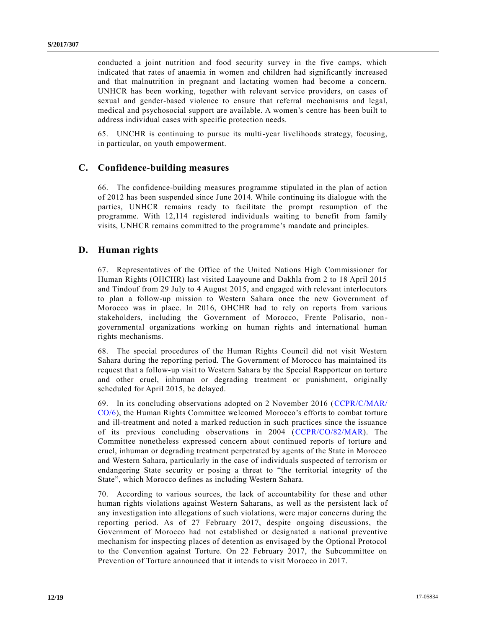conducted a joint nutrition and food security survey in the five camps, which indicated that rates of anaemia in women and children had significantly increased and that malnutrition in pregnant and lactating women had become a concern. UNHCR has been working, together with relevant service providers, on cases of sexual and gender-based violence to ensure that referral mechanisms and legal, medical and psychosocial support are available. A women's centre has been built to address individual cases with specific protection needs.

65. UNCHR is continuing to pursue its multi-year livelihoods strategy, focusing, in particular, on youth empowerment.

#### **C. Confidence-building measures**

66. The confidence-building measures programme stipulated in the plan of action of 2012 has been suspended since June 2014. While continuing its dialogue with the parties, UNHCR remains ready to facilitate the prompt resumption of the programme. With 12,114 registered individuals waiting to benefit from family visits, UNHCR remains committed to the programme's mandate and principles.

#### **D. Human rights**

67. Representatives of the Office of the United Nations High Commissioner for Human Rights (OHCHR) last visited Laayoune and Dakhla from 2 to 18 April 2015 and Tindouf from 29 July to 4 August 2015, and engaged with relevant interlocutors to plan a follow-up mission to Western Sahara once the new Government of Morocco was in place. In 2016, OHCHR had to rely on reports from various stakeholders, including the Government of Morocco, Frente Polisario, nongovernmental organizations working on human rights and international human rights mechanisms.

68. The special procedures of the Human Rights Council did not visit Western Sahara during the reporting period. The Government of Morocco has maintained its request that a follow-up visit to Western Sahara by the Special Rapporteur on torture and other cruel, inhuman or degrading treatment or punishment, originally scheduled for April 2015, be delayed.

69. In its concluding observations adopted on 2 November 2016 [\(CCPR/C/MAR/](http://undocs.org/CCPR/C/MAR/CO/6) [CO/6\)](http://undocs.org/CCPR/C/MAR/CO/6), the Human Rights Committee welcomed Morocco's efforts to combat torture and ill-treatment and noted a marked reduction in such practices since the issuance of its previous concluding observations in 2004 [\(CCPR/CO/82/MAR\)](http://undocs.org/CCPR/CO/82/MAR). The Committee nonetheless expressed concern about continued reports of torture and cruel, inhuman or degrading treatment perpetrated by agents of the State in Morocco and Western Sahara, particularly in the case of individuals suspected of terrorism or endangering State security or posing a threat to "the territorial integrity of the State", which Morocco defines as including Western Sahara.

70. According to various sources, the lack of accountability for these and other human rights violations against Western Saharans, as well as the persistent lack of any investigation into allegations of such violations, were major concerns during the reporting period. As of 27 February 2017, despite ongoing discussions, the Government of Morocco had not established or designated a national preventive mechanism for inspecting places of detention as envisaged by the Optional Protocol to the Convention against Torture. On 22 February 2017, the Subcommittee on Prevention of Torture announced that it intends to visit Morocco in 2017.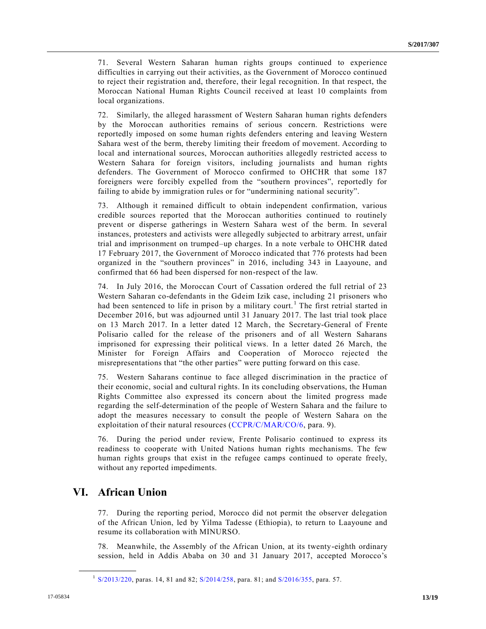71. Several Western Saharan human rights groups continued to experience difficulties in carrying out their activities, as the Government of Morocco continued to reject their registration and, therefore, their legal recognition. In that respect, the Moroccan National Human Rights Council received at least 10 complaints from local organizations.

72. Similarly, the alleged harassment of Western Saharan human rights defenders by the Moroccan authorities remains of serious concern. Restrictions were reportedly imposed on some human rights defenders entering and leaving Western Sahara west of the berm, thereby limiting their freedom of movement. According to local and international sources, Moroccan authorities allegedly restricted access to Western Sahara for foreign visitors, including journalists and human rights defenders. The Government of Morocco confirmed to OHCHR that some 187 foreigners were forcibly expelled from the "southern provinces", reportedly for failing to abide by immigration rules or for "undermining national security".

73. Although it remained difficult to obtain independent confirmation, various credible sources reported that the Moroccan authorities continued to routinely prevent or disperse gatherings in Western Sahara west of the berm. In several instances, protesters and activists were allegedly subjected to arbitrary arrest, unfair trial and imprisonment on trumped–up charges. In a note verbale to OHCHR dated 17 February 2017, the Government of Morocco indicated that 776 protests had been organized in the "southern provinces" in 2016, including 343 in Laayoune, and confirmed that 66 had been dispersed for non-respect of the law.

74. In July 2016, the Moroccan Court of Cassation ordered the full retrial of 23 Western Saharan co-defendants in the Gdeim Izik case, including 21 prisoners who had been sentenced to life in prison by a military court.<sup>1</sup> The first retrial started in December 2016, but was adjourned until 31 January 2017. The last trial took place on 13 March 2017. In a letter dated 12 March, the Secretary-General of Frente Polisario called for the release of the prisoners and of all Western Saharans imprisoned for expressing their political views. In a letter dated 26 March, the Minister for Foreign Affairs and Cooperation of Morocco rejected the misrepresentations that "the other parties" were putting forward on this case.

75. Western Saharans continue to face alleged discrimination in the practice of their economic, social and cultural rights. In its concluding observations, the Human Rights Committee also expressed its concern about the limited progress made regarding the self-determination of the people of Western Sahara and the failure to adopt the measures necessary to consult the people of Western Sahara on the exploitation of their natural resources [\(CCPR/C/MAR/CO/6,](http://undocs.org/CCPR/C/MAR/CO/6) para. 9).

76. During the period under review, Frente Polisario continued to express its readiness to cooperate with United Nations human rights mechanisms. The few human rights groups that exist in the refugee camps continued to operate freely, without any reported impediments.

## **VI. African Union**

**\_\_\_\_\_\_\_\_\_\_\_\_\_\_\_\_\_\_**

77. During the reporting period, Morocco did not permit the observer delegation of the African Union, led by Yilma Tadesse (Ethiopia), to return to Laayoune and resume its collaboration with MINURSO.

78. Meanwhile, the Assembly of the African Union, at its twenty-eighth ordinary session, held in Addis Ababa on 30 and 31 January 2017, accepted Morocco's

<sup>&</sup>lt;sup>1</sup> [S/2013/220,](http://undocs.org/S/2013/220) paras. 14, 81 and 82; [S/2014/258,](http://undocs.org/S/2014/258) para. 81; and [S/2016/355,](http://undocs.org/S/2016/355) para. 57.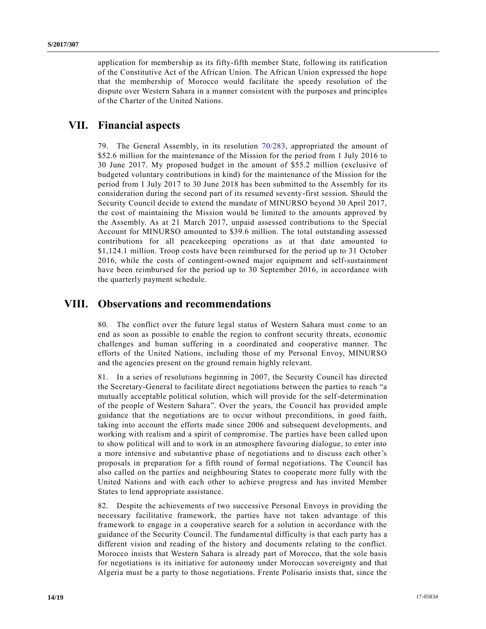application for membership as its fifty-fifth member State, following its ratification of the Constitutive Act of the African Union. The African Union expressed the hope that the membership of Morocco would facilitate the speedy resolution of the dispute over Western Sahara in a manner consistent with the purposes and principles of the Charter of the United Nations.

### **VII. Financial aspects**

79. The General Assembly, in its resolution [70/283,](http://undocs.org/A/RES/70/283) appropriated the amount of \$52.6 million for the maintenance of the Mission for the period from 1 July 2016 to 30 June 2017. My proposed budget in the amount of \$55.2 million (exclusive of budgeted voluntary contributions in kind) for the maintenance of the Mission for the period from 1 July 2017 to 30 June 2018 has been submitted to the Assembly for its consideration during the second part of its resumed seventy-first session. Should the Security Council decide to extend the mandate of MINURSO beyond 30 April 2017, the cost of maintaining the Mission would be limited to the amounts approved by the Assembly. As at 21 March 2017, unpaid assessed contributions to the Special Account for MINURSO amounted to \$39.6 million. The total outstanding assessed contributions for all peacekeeping operations as at that date amounted to \$1,124.1 million. Troop costs have been reimbursed for the period up to 31 October 2016, while the costs of contingent-owned major equipment and self-sustainment have been reimbursed for the period up to 30 September 2016, in accordance with the quarterly payment schedule.

### **VIII. Observations and recommendations**

80. The conflict over the future legal status of Western Sahara must come to an end as soon as possible to enable the region to confront security threats, economic challenges and human suffering in a coordinated and cooperative manner. The efforts of the United Nations, including those of my Personal Envoy, MINURSO and the agencies present on the ground remain highly relevant.

81. In a series of resolutions beginning in 2007, the Security Council has directed the Secretary-General to facilitate direct negotiations between the parties to reach "a mutually acceptable political solution, which will provide for the self-determination of the people of Western Sahara". Over the years, the Council has provided ample guidance that the negotiations are to occur without preconditions, in good faith, taking into account the efforts made since 2006 and subsequent developments, and working with realism and a spirit of compromise. The parties have been called upon to show political will and to work in an atmosphere favouring dialogue, to enter into a more intensive and substantive phase of negotiations and to discuss each other's proposals in preparation for a fifth round of formal negotiations. The Council has also called on the parties and neighbouring States to cooperate more fully with the United Nations and with each other to achieve progress and has invited Member States to lend appropriate assistance.

82. Despite the achievements of two successive Personal Envoys in providing the necessary facilitative framework, the parties have not taken advantage of this framework to engage in a cooperative search for a solution in accordance with the guidance of the Security Council. The fundamental difficulty is that each party has a different vision and reading of the history and documents relating to the conflict. Morocco insists that Western Sahara is already part of Morocco, that the sole basis for negotiations is its initiative for autonomy under Moroccan sovereignty and that Algeria must be a party to those negotiations. Frente Polisario insists that, since the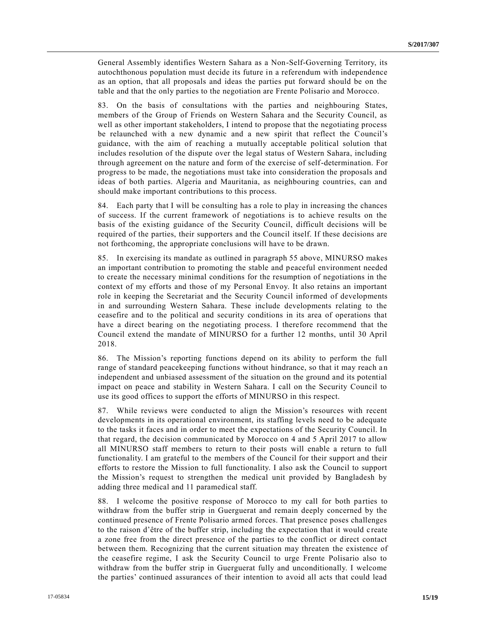General Assembly identifies Western Sahara as a Non-Self-Governing Territory, its autochthonous population must decide its future in a referendum with independence as an option, that all proposals and ideas the parties put forward should be on the table and that the only parties to the negotiation are Frente Polisario and Morocco.

83. On the basis of consultations with the parties and neighbouring States, members of the Group of Friends on Western Sahara and the Security Council, as well as other important stakeholders, I intend to propose that the negotiating process be relaunched with a new dynamic and a new spirit that reflect the Council's guidance, with the aim of reaching a mutually acceptable political solution that includes resolution of the dispute over the legal status of Western Sahara, including through agreement on the nature and form of the exercise of self-determination. For progress to be made, the negotiations must take into consideration the proposals and ideas of both parties. Algeria and Mauritania, as neighbouring countries, can and should make important contributions to this process.

84. Each party that I will be consulting has a role to play in increasing the chances of success. If the current framework of negotiations is to achieve results on the basis of the existing guidance of the Security Council, difficult decisions will be required of the parties, their supporters and the Council itself. If these decisions are not forthcoming, the appropriate conclusions will have to be drawn.

85. In exercising its mandate as outlined in paragraph 55 above, MINURSO makes an important contribution to promoting the stable and peaceful environment needed to create the necessary minimal conditions for the resumption of negotiations in the context of my efforts and those of my Personal Envoy. It also retains an important role in keeping the Secretariat and the Security Council informed of developments in and surrounding Western Sahara. These include developments relating to the ceasefire and to the political and security conditions in its area of operations that have a direct bearing on the negotiating process. I therefore recommend that the Council extend the mandate of MINURSO for a further 12 months, until 30 April 2018.

86. The Mission's reporting functions depend on its ability to perform the full range of standard peace keeping functions without hindrance, so that it may reach an independent and unbiased assessment of the situation on the ground and its potential impact on peace and stability in Western Sahara. I call on the Security Council to use its good offices to support the efforts of MINURSO in this respect.

87. While reviews were conducted to align the Mission's resources with recent developments in its operational environment, its staffing levels need to be adequate to the tasks it faces and in order to meet the expectations of the Security Council. In that regard, the decision communicated by Morocco on 4 and 5 April 2017 to allow all MINURSO staff members to return to their posts will enable a return to full functionality. I am grateful to the members of the Council for their support and their efforts to restore the Mission to full functionality. I also ask the Council to support the Mission's request to strengthen the medical unit provided by Bangladesh by adding three medical and 11 paramedical staff.

88. I welcome the positive response of Morocco to my call for both parties to withdraw from the buffer strip in Guerguerat and remain deeply concerned by the continued presence of Frente Polisario armed forces. That presence poses challenges to the raison d'être of the buffer strip, including the expectation that it would c reate a zone free from the direct presence of the parties to the conflict or direct contact between them. Recognizing that the current situation may threaten the existence of the ceasefire regime, I ask the Security Council to urge Frente Polisario also to withdraw from the buffer strip in Guerguerat fully and unconditionally. I welcome the parties' continued assurances of their intention to avoid all acts that could lead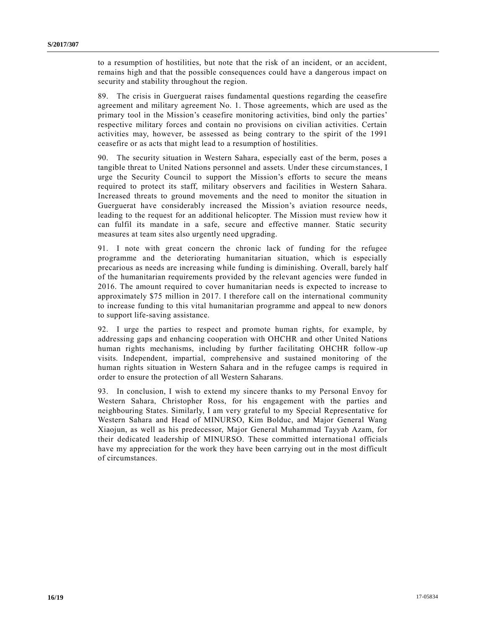to a resumption of hostilities, but note that the risk of an incident, or an accident, remains high and that the possible consequences could have a dangerous impact on security and stability throughout the region.

89. The crisis in Guerguerat raises fundamental questions regarding the ceasefire agreement and military agreement No. 1. Those agreements, which are used as the primary tool in the Mission's ceasefire monitoring activities, bind only the parties' respective military forces and contain no provisions on civilian activities. Certain activities may, however, be assessed as being contrary to the spirit of the 1991 ceasefire or as acts that might lead to a resumption of hostilities.

90. The security situation in Western Sahara, especially east of the berm, poses a tangible threat to United Nations personnel and assets. Under these circumstances, I urge the Security Council to support the Mission's efforts to secure the means required to protect its staff, military observers and facilities in Western Sahara. Increased threats to ground movements and the need to monitor the situation in Guerguerat have considerably increased the Mission's aviation resource needs, leading to the request for an additional helicopter. The Mission must review how it can fulfil its mandate in a safe, secure and effective manner. Static security measures at team sites also urgently need upgrading.

91. I note with great concern the chronic lack of funding for the refugee programme and the deteriorating humanitarian situation, which is especially precarious as needs are increasing while funding is diminishing. Overall, barely half of the humanitarian requirements provided by the relevant agencies were funded in 2016. The amount required to cover humanitarian needs is expected to increase to approximately \$75 million in 2017. I therefore call on the international community to increase funding to this vital humanitarian programme and appeal to new donors to support life-saving assistance.

92. I urge the parties to respect and promote human rights, for example, by addressing gaps and enhancing cooperation with OHCHR and other United Nations human rights mechanisms, including by further facilitating OHCHR follow-up visits. Independent, impartial, comprehensive and sustained monitoring of the human rights situation in Western Sahara and in the refugee camps is required in order to ensure the protection of all Western Saharans.

93. In conclusion, I wish to extend my sincere thanks to my Personal Envoy for Western Sahara, Christopher Ross, for his engagement with the parties and neighbouring States. Similarly, I am very grateful to my Special Representative for Western Sahara and Head of MINURSO, Kim Bolduc, and Major General Wang Xiaojun, as well as his predecessor, Major General Muhammad Tayyab Azam, for their dedicated leadership of MINURSO. These committed international officials have my appreciation for the work they have been carrying out in the most difficult of circumstances.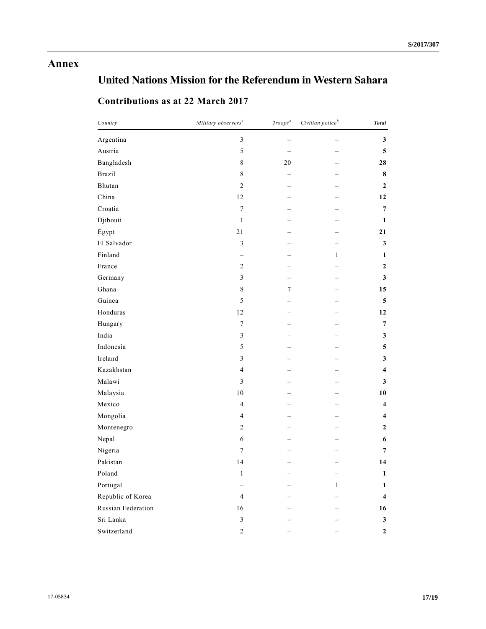## **Annex**

# **United Nations Mission for the Referendum in Western Sahara**

| Country            | Military observers <sup>a</sup> | $\mathit{Troops}^a$ | Civilian police $^b$ | <b>Total</b>            |
|--------------------|---------------------------------|---------------------|----------------------|-------------------------|
| Argentina          | $\mathfrak{Z}$                  |                     |                      | 3                       |
| Austria            | 5                               |                     |                      | 5                       |
| Bangladesh         | $\,8\,$                         | 20                  |                      | 28                      |
| <b>Brazil</b>      | $8\,$                           |                     |                      | 8                       |
| Bhutan             | $\sqrt{2}$                      |                     |                      | $\mathbf{2}$            |
| China              | 12                              |                     |                      | 12                      |
| Croatia            | $\boldsymbol{7}$                |                     |                      | $\boldsymbol{7}$        |
| Djibouti           | $\mathbf{1}$                    |                     |                      | $\mathbf{1}$            |
| Egypt              | $21\,$                          |                     |                      | 21                      |
| El Salvador        | $\mathfrak{Z}$                  |                     |                      | $\mathbf{3}$            |
| Finland            |                                 |                     | $\mathbf{1}$         | 1                       |
| France             | $\overline{c}$                  |                     |                      | $\mathbf{2}$            |
| Germany            | $\mathfrak{Z}$                  | -                   |                      | $\mathbf{3}$            |
| Ghana              | $\,$ 8 $\,$                     | $\boldsymbol{7}$    |                      | 15                      |
| Guinea             | $\sqrt{5}$                      |                     |                      | $\overline{\mathbf{5}}$ |
| Honduras           | $12\,$                          |                     |                      | 12                      |
| Hungary            | $\boldsymbol{7}$                |                     |                      | $\overline{7}$          |
| India              | $\mathfrak{Z}$                  |                     |                      | 3                       |
| Indonesia          | 5                               |                     |                      | 5                       |
| Ireland            | 3                               |                     |                      | 3                       |
| Kazakhstan         | $\overline{4}$                  |                     |                      | 4                       |
| Malawi             | $\mathfrak{Z}$                  |                     |                      | 3                       |
| Malaysia           | $10\,$                          |                     |                      | 10                      |
| Mexico             | $\overline{4}$                  |                     |                      | $\overline{\mathbf{4}}$ |
| Mongolia           | 4                               |                     |                      | 4                       |
| Montenegro         | $\overline{c}$                  |                     |                      | $\boldsymbol{2}$        |
| Nepal              | 6                               |                     |                      | 6                       |
| Nigeria            | $\boldsymbol{7}$                |                     |                      | 7                       |
| Pakistan           | 14                              |                     |                      | 14                      |
| Poland             | $\mathbf{1}$                    |                     |                      | $\mathbf{1}$            |
| Portugal           |                                 |                     | $\,1$                | $\mathbf 1$             |
| Republic of Korea  | $\overline{4}$                  |                     |                      | $\overline{\mathbf{4}}$ |
| Russian Federation | 16                              |                     |                      | 16                      |
| Sri Lanka          | $\mathfrak{Z}$                  |                     |                      | $\mathbf{3}$            |
| Switzerland        | $\overline{c}$                  |                     |                      | $\boldsymbol{2}$        |

## **Contributions as at 22 March 2017**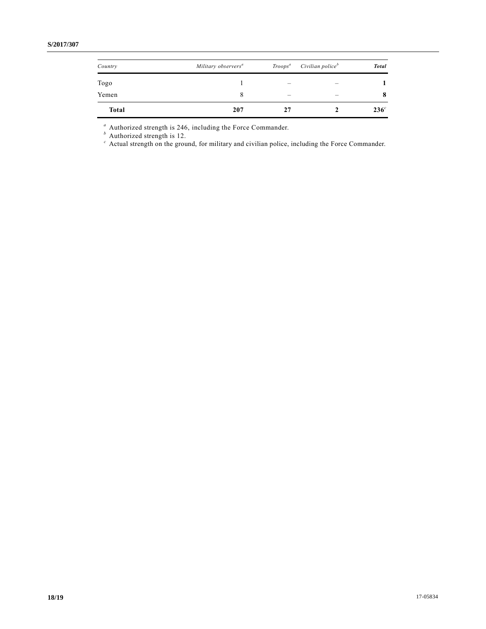| Country      | Military observers <sup>a</sup> | $Troops^a$ | Civilian police <sup>b</sup> | <b>Total</b>     |
|--------------|---------------------------------|------------|------------------------------|------------------|
| Togo         |                                 |            |                              |                  |
| Yemen        |                                 | –          |                              | 8                |
| <b>Total</b> | 207                             | 27         |                              | 236 <sup>c</sup> |

*<sup>a</sup>* Authorized strength is 246, including the Force Commander.

*<sup>b</sup>* Authorized strength is 12.

*<sup>c</sup>* Actual strength on the ground, for military and civilian police, including the Force Commander.